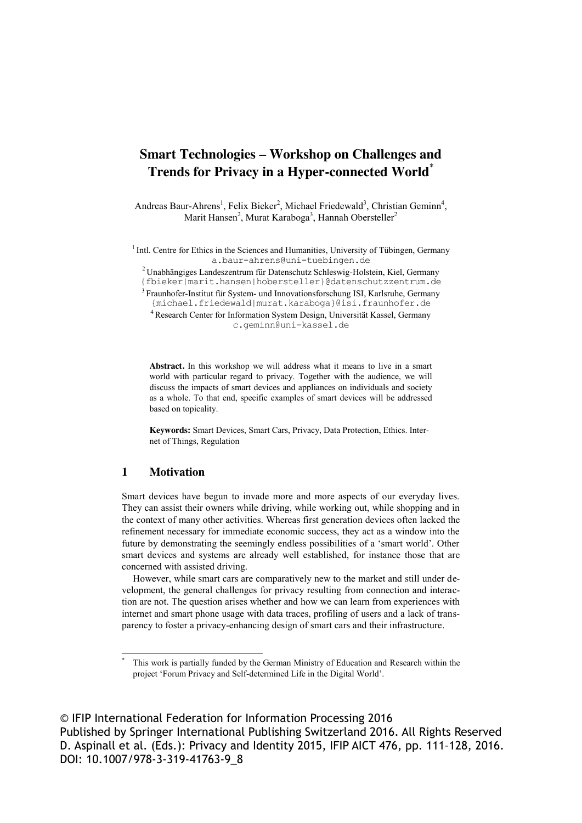# **Smart Technologies – Workshop on Challenges and Trends for Privacy in a Hyper-connected World\***

Andreas Baur-Ahrens<sup>1</sup>, Felix Bieker<sup>2</sup>, Michael Friedewald<sup>3</sup>, Christian Geminn<sup>4</sup>, Marit Hansen<sup>2</sup>, Murat Karaboga<sup>3</sup>, Hannah Obersteller<sup>2</sup>

<sup>1</sup> Intl. Centre for Ethics in the Sciences and Humanities, University of Tübingen, Germany a.baur-ahrens@uni-tuebingen.de

2 Unabhängiges Landeszentrum für Datenschutz Schleswig-Holstein, Kiel, Germany {fbieker|marit.hansen|hobersteller}@datenschutzzentrum.de

3 Fraunhofer-Institut für System- und Innovationsforschung ISI, Karlsruhe, Germany {michael.friedewald|murat.karaboga}@isi.fraunhofer.de

4 Research Center for Information System Design, Universität Kassel, Germany c.geminn@uni-kassel.de

**Abstract.** In this workshop we will address what it means to live in a smart world with particular regard to privacy. Together with the audience, we will discuss the impacts of smart devices and appliances on individuals and society as a whole. To that end, specific examples of smart devices will be addressed based on topicality.

**Keywords:** Smart Devices, Smart Cars, Privacy, Data Protection, Ethics. Internet of Things, Regulation

## **1 Motivation**

Smart devices have begun to invade more and more aspects of our everyday lives. They can assist their owners while driving, while working out, while shopping and in the context of many other activities. Whereas first generation devices often lacked the refinement necessary for immediate economic success, they act as a window into the future by demonstrating the seemingly endless possibilities of a 'smart world'. Other smart devices and systems are already well established, for instance those that are concerned with assisted driving.

However, while smart cars are comparatively new to the market and still under development, the general challenges for privacy resulting from connection and interaction are not. The question arises whether and how we can learn from experiences with internet and smart phone usage with data traces, profiling of users and a lack of transparency to foster a privacy-enhancing design of smart cars and their infrastructure.

© IFIP International Federation for Information Processing 2016 Published by Springer International Publishing Switzerland 2016. All Rights Reserved D. Aspinall et al. (Eds.): Privacy and Identity 2015, IFIP AICT 476, pp. 111–128, 2016. DOI: 10.1007/978-3-319-41763-9\_8

This work is partially funded by the German Ministry of Education and Research within the project 'Forum Privacy and Self-determined Life in the Digital World'.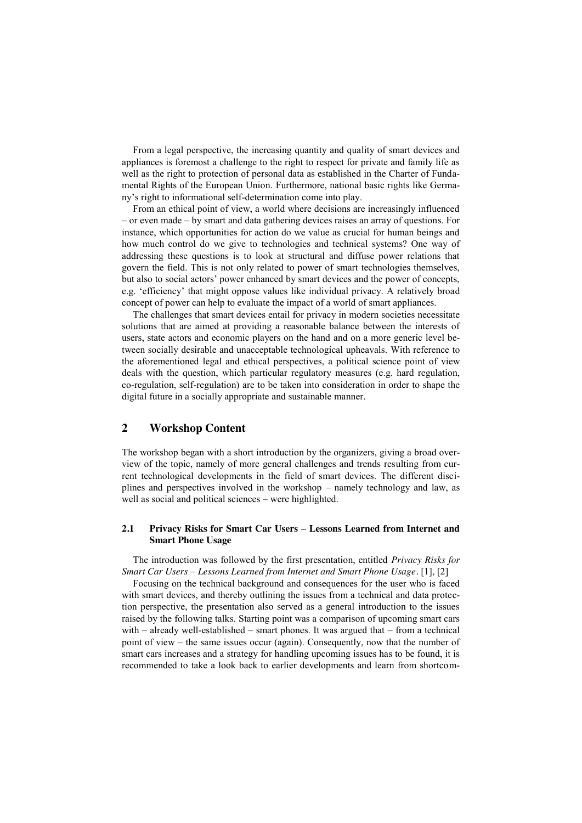From a legal perspective, the increasing quantity and quality of smart devices and appliances is foremost a challenge to the right to respect for private and family life as well as the right to protection of personal data as established in the Charter of Fundamental Rights of the European Union. Furthermore, national basic rights like Germany's right to informational self-determination come into play.

From an ethical point of view, a world where decisions are increasingly influenced – or even made – by smart and data gathering devices raises an array of questions. For instance, which opportunities for action do we value as crucial for human beings and how much control do we give to technologies and technical systems? One way of addressing these questions is to look at structural and diffuse power relations that govern the field. This is not only related to power of smart technologies themselves, but also to social actors' power enhanced by smart devices and the power of concepts, e.g. 'efficiency' that might oppose values like individual privacy. A relatively broad concept of power can help to evaluate the impact of a world of smart appliances.

The challenges that smart devices entail for privacy in modern societies necessitate solutions that are aimed at providing a reasonable balance between the interests of users, state actors and economic players on the hand and on a more generic level between socially desirable and unacceptable technological upheavals. With reference to the aforementioned legal and ethical perspectives, a political science point of view deals with the question, which particular regulatory measures (e.g. hard regulation, co-regulation, self-regulation) are to be taken into consideration in order to shape the digital future in a socially appropriate and sustainable manner.

# **2 Workshop Content**

The workshop began with a short introduction by the organizers, giving a broad overview of the topic, namely of more general challenges and trends resulting from current technological developments in the field of smart devices. The different disciplines and perspectives involved in the workshop – namely technology and law, as well as social and political sciences – were highlighted.

#### **2.1 Privacy Risks for Smart Car Users – Lessons Learned from Internet and Smart Phone Usage**

The introduction was followed by the first presentation, entitled *Privacy Risks for Smart Car Users – Lessons Learned from Internet and Smart Phone Usage.* [1], [2]

Focusing on the technical background and consequences for the user who is faced with smart devices, and thereby outlining the issues from a technical and data protection perspective, the presentation also served as a general introduction to the issues raised by the following talks. Starting point was a comparison of upcoming smart cars with  $-$  already well-established  $-$  smart phones. It was argued that  $-$  from a technical point of view – the same issues occur (again). Consequently, now that the number of smart cars increases and a strategy for handling upcoming issues has to be found, it is recommended to take a look back to earlier developments and learn from shortcom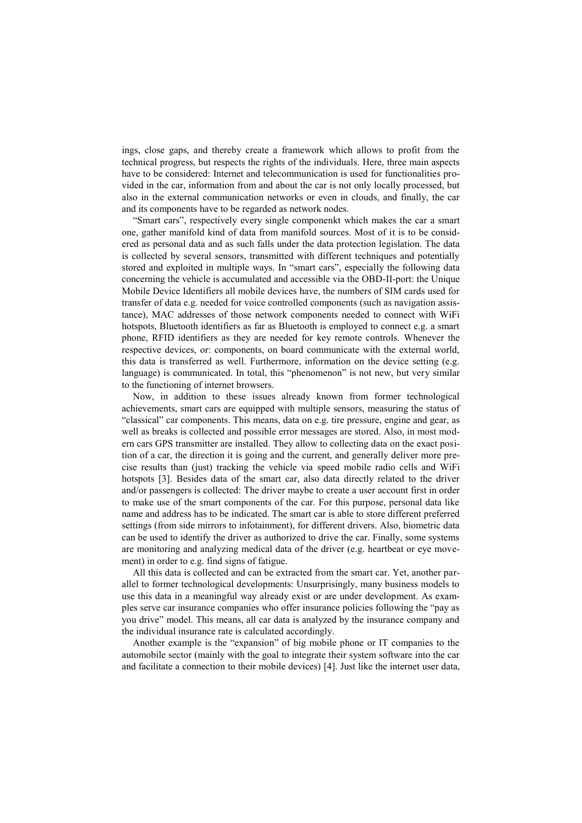ings, close gaps, and thereby create a framework which allows to profit from the technical progress, but respects the rights of the individuals. Here, three main aspects have to be considered: Internet and telecommunication is used for functionalities provided in the car, information from and about the car is not only locally processed, but also in the external communication networks or even in clouds, and finally, the car and its components have to be regarded as network nodes.

"Smart cars", respectively every single componenkt which makes the car a smart one, gather manifold kind of data from manifold sources. Most of it is to be considered as personal data and as such falls under the data protection legislation. The data is collected by several sensors, transmitted with different techniques and potentially stored and exploited in multiple ways. In "smart cars", especially the following data concerning the vehicle is accumulated and accessible via the OBD-II-port: the Unique Mobile Device Identifiers all mobile devices have, the numbers of SIM cards used for transfer of data e.g. needed for voice controlled components (such as navigation assistance), MAC addresses of those network components needed to connect with WiFi hotspots, Bluetooth identifiers as far as Bluetooth is employed to connect e.g. a smart phone, RFID identifiers as they are needed for key remote controls. Whenever the respective devices, or: components, on board communicate with the external world, this data is transferred as well. Furthermore, information on the device setting (e.g. language) is communicated. In total, this "phenomenon" is not new, but very similar to the functioning of internet browsers.

Now, in addition to these issues already known from former technological achievements, smart cars are equipped with multiple sensors, measuring the status of "classical" car components. This means, data on e.g. tire pressure, engine and gear, as well as breaks is collected and possible error messages are stored. Also, in most modern cars GPS transmitter are installed. They allow to collecting data on the exact position of a car, the direction it is going and the current, and generally deliver more precise results than (just) tracking the vehicle via speed mobile radio cells and WiFi hotspots [3]. Besides data of the smart car, also data directly related to the driver and/or passengers is collected: The driver maybe to create a user account first in order to make use of the smart components of the car. For this purpose, personal data like name and address has to be indicated. The smart car is able to store different preferred settings (from side mirrors to infotainment), for different drivers. Also, biometric data can be used to identify the driver as authorized to drive the car. Finally, some systems are monitoring and analyzing medical data of the driver (e.g. heartbeat or eye movement) in order to e.g. find signs of fatigue.

All this data is collected and can be extracted from the smart car. Yet, another parallel to former technological developments: Unsurprisingly, many business models to use this data in a meaningful way already exist or are under development. As examples serve car insurance companies who offer insurance policies following the "pay as you drive" model. This means, all car data is analyzed by the insurance company and the individual insurance rate is calculated accordingly.

Another example is the "expansion" of big mobile phone or IT companies to the automobile sector (mainly with the goal to integrate their system software into the car and facilitate a connection to their mobile devices) [4]. Just like the internet user data,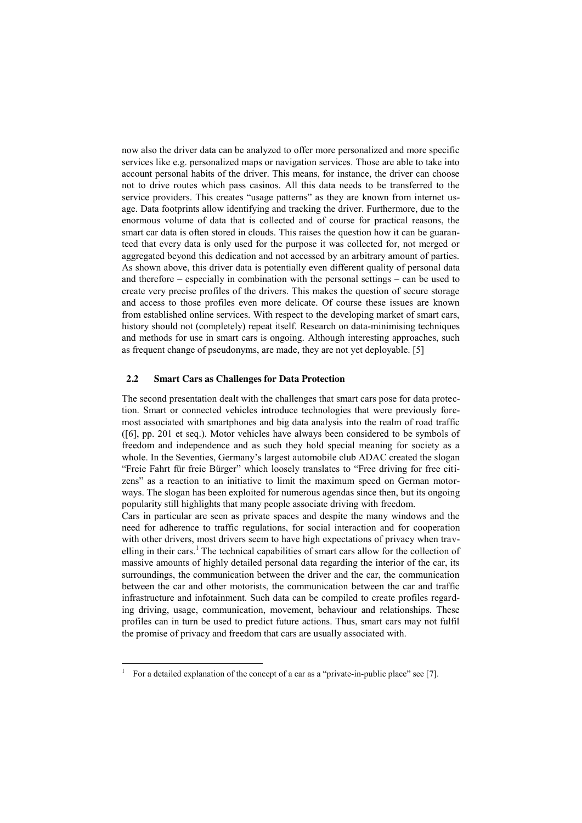now also the driver data can be analyzed to offer more personalized and more specific services like e.g. personalized maps or navigation services. Those are able to take into account personal habits of the driver. This means, for instance, the driver can choose not to drive routes which pass casinos. All this data needs to be transferred to the service providers. This creates "usage patterns" as they are known from internet usage. Data footprints allow identifying and tracking the driver. Furthermore, due to the enormous volume of data that is collected and of course for practical reasons, the smart car data is often stored in clouds. This raises the question how it can be guaranteed that every data is only used for the purpose it was collected for, not merged or aggregated beyond this dedication and not accessed by an arbitrary amount of parties. As shown above, this driver data is potentially even different quality of personal data and therefore – especially in combination with the personal settings – can be used to create very precise profiles of the drivers. This makes the question of secure storage and access to those profiles even more delicate. Of course these issues are known from established online services. With respect to the developing market of smart cars, history should not (completely) repeat itself. Research on data-minimising techniques and methods for use in smart cars is ongoing. Although interesting approaches, such as frequent change of pseudonyms, are made, they are not yet deployable. [5]

### **2.2 Smart Cars as Challenges for Data Protection**

The second presentation dealt with the challenges that smart cars pose for data protection. Smart or connected vehicles introduce technologies that were previously foremost associated with smartphones and big data analysis into the realm of road traffic ([6], pp. 201 et seq.). Motor vehicles have always been considered to be symbols of freedom and independence and as such they hold special meaning for society as a whole. In the Seventies, Germany's largest automobile club ADAC created the slogan "Freie Fahrt für freie Bürger" which loosely translates to "Free driving for free citizens" as a reaction to an initiative to limit the maximum speed on German motorways. The slogan has been exploited for numerous agendas since then, but its ongoing popularity still highlights that many people associate driving with freedom.

Cars in particular are seen as private spaces and despite the many windows and the need for adherence to traffic regulations, for social interaction and for cooperation with other drivers, most drivers seem to have high expectations of privacy when travelling in their cars.<sup>1</sup> The technical capabilities of smart cars allow for the collection of massive amounts of highly detailed personal data regarding the interior of the car, its surroundings, the communication between the driver and the car, the communication between the car and other motorists, the communication between the car and traffic infrastructure and infotainment. Such data can be compiled to create profiles regarding driving, usage, communication, movement, behaviour and relationships. These profiles can in turn be used to predict future actions. Thus, smart cars may not fulfil the promise of privacy and freedom that cars are usually associated with.

 <sup>1</sup> For a detailed explanation of the concept of <sup>a</sup> car as a "private-in-public place" see [7].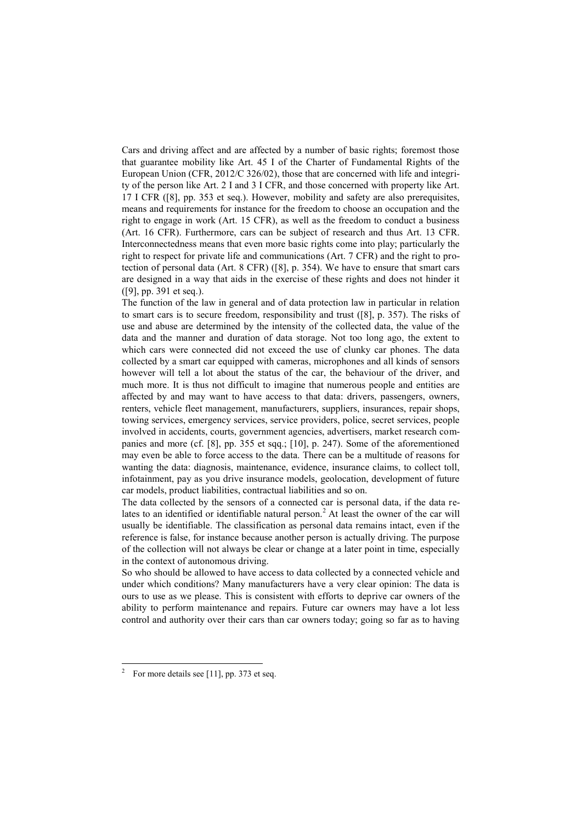Cars and driving affect and are affected by a number of basic rights; foremost those that guarantee mobility like Art. 45 I of the Charter of Fundamental Rights of the European Union (CFR, 2012/C 326/02), those that are concerned with life and integrity of the person like Art. 2 I and 3 I CFR, and those concerned with property like Art. 17 I CFR ([8], pp. 353 et seq.). However, mobility and safety are also prerequisites, means and requirements for instance for the freedom to choose an occupation and the right to engage in work (Art. 15 CFR), as well as the freedom to conduct a business (Art. 16 CFR). Furthermore, cars can be subject of research and thus Art. 13 CFR. Interconnectedness means that even more basic rights come into play; particularly the right to respect for private life and communications (Art. 7 CFR) and the right to protection of personal data (Art. 8 CFR) ([8], p. 354). We have to ensure that smart cars are designed in a way that aids in the exercise of these rights and does not hinder it ([9], pp. 391 et seq.).

The function of the law in general and of data protection law in particular in relation to smart cars is to secure freedom, responsibility and trust ([8], p. 357). The risks of use and abuse are determined by the intensity of the collected data, the value of the data and the manner and duration of data storage. Not too long ago, the extent to which cars were connected did not exceed the use of clunky car phones. The data collected by a smart car equipped with cameras, microphones and all kinds of sensors however will tell a lot about the status of the car, the behaviour of the driver, and much more. It is thus not difficult to imagine that numerous people and entities are affected by and may want to have access to that data: drivers, passengers, owners, renters, vehicle fleet management, manufacturers, suppliers, insurances, repair shops, towing services, emergency services, service providers, police, secret services, people involved in accidents, courts, government agencies, advertisers, market research companies and more (cf. [8], pp. 355 et sqq.; [10], p. 247). Some of the aforementioned may even be able to force access to the data. There can be a multitude of reasons for wanting the data: diagnosis, maintenance, evidence, insurance claims, to collect toll, infotainment, pay as you drive insurance models, geolocation, development of future car models, product liabilities, contractual liabilities and so on.

The data collected by the sensors of a connected car is personal data, if the data relates to an identified or identifiable natural person.<sup>2</sup> At least the owner of the car will usually be identifiable. The classification as personal data remains intact, even if the reference is false, for instance because another person is actually driving. The purpose of the collection will not always be clear or change at a later point in time, especially in the context of autonomous driving.

So who should be allowed to have access to data collected by a connected vehicle and under which conditions? Many manufacturers have a very clear opinion: The data is ours to use as we please. This is consistent with efforts to deprive car owners of the ability to perform maintenance and repairs. Future car owners may have a lot less control and authority over their cars than car owners today; going so far as to having

<sup>&</sup>lt;sup>2</sup> For more details see [11], pp. 373 et seq.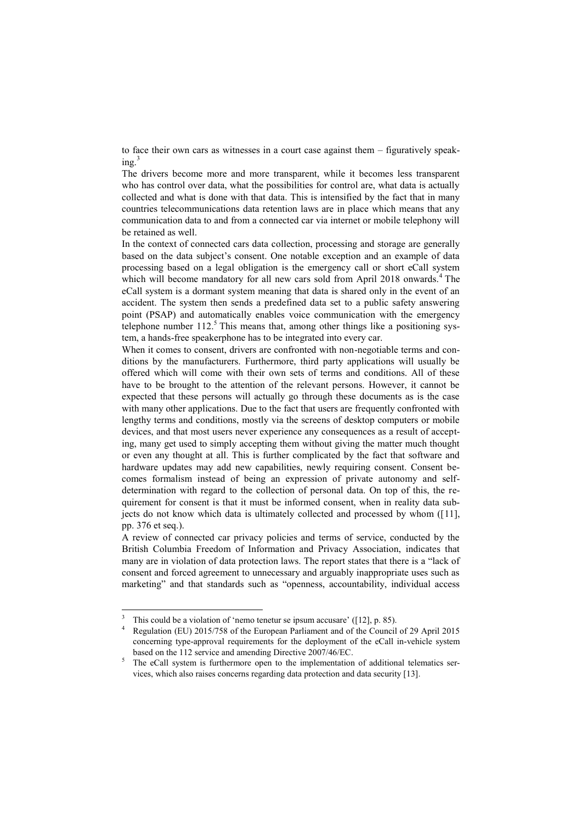to face their own cars as witnesses in a court case against them – figuratively speak $ine<sup>3</sup>$ 

The drivers become more and more transparent, while it becomes less transparent who has control over data, what the possibilities for control are, what data is actually collected and what is done with that data. This is intensified by the fact that in many countries telecommunications data retention laws are in place which means that any communication data to and from a connected car via internet or mobile telephony will be retained as well.

In the context of connected cars data collection, processing and storage are generally based on the data subject's consent. One notable exception and an example of data processing based on a legal obligation is the emergency call or short eCall system which will become mandatory for all new cars sold from April 2018 onwards.<sup>4</sup> The eCall system is a dormant system meaning that data is shared only in the event of an accident. The system then sends a predefined data set to a public safety answering point (PSAP) and automatically enables voice communication with the emergency telephone number  $112<sup>5</sup>$ . This means that, among other things like a positioning system, a hands-free speakerphone has to be integrated into every car.

When it comes to consent, drivers are confronted with non-negotiable terms and conditions by the manufacturers. Furthermore, third party applications will usually be offered which will come with their own sets of terms and conditions. All of these have to be brought to the attention of the relevant persons. However, it cannot be expected that these persons will actually go through these documents as is the case with many other applications. Due to the fact that users are frequently confronted with lengthy terms and conditions, mostly via the screens of desktop computers or mobile devices, and that most users never experience any consequences as a result of accepting, many get used to simply accepting them without giving the matter much thought or even any thought at all. This is further complicated by the fact that software and hardware updates may add new capabilities, newly requiring consent. Consent becomes formalism instead of being an expression of private autonomy and selfdetermination with regard to the collection of personal data. On top of this, the requirement for consent is that it must be informed consent, when in reality data subjects do not know which data is ultimately collected and processed by whom ([11], pp. 376 et seq.).

A review of connected car privacy policies and terms of service, conducted by the British Columbia Freedom of Information and Privacy Association, indicates that many are in violation of data protection laws. The report states that there is a "lack of consent and forced agreement to unnecessary and arguably inappropriate uses such as marketing" and that standards such as "openness, accountability, individual access

<sup>&</sup>lt;sup>3</sup> This could be a violation of 'nemo tenetur se ipsum accusare' ( $[12]$ , p. 85).

<sup>4</sup> Regulation (EU) 2015/758 of the European Parliament and of the Council of 29 April 2015 concerning type-approval requirements for the deployment of the eCall in-vehicle system based on the 112 service and amending Directive 2007/46/EC.

<sup>5</sup> The eCall system is furthermore open to the implementation of additional telematics services, which also raises concerns regarding data protection and data security [13].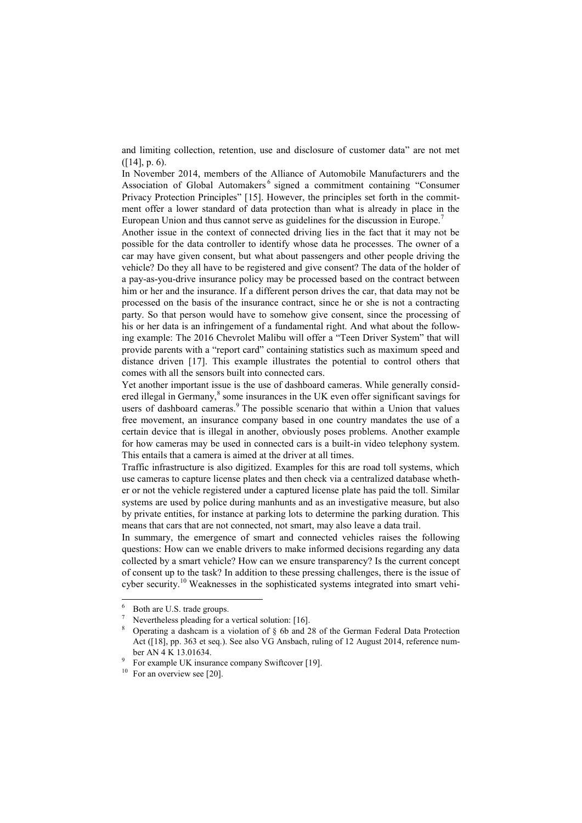and limiting collection, retention, use and disclosure of customer data" are not met ([14], p. 6).

In November 2014, members of the Alliance of Automobile Manufacturers and the Association of Global Automakers<sup>6</sup> signed a commitment containing "Consumer Privacy Protection Principles" [15]. However, the principles set forth in the commitment offer a lower standard of data protection than what is already in place in the European Union and thus cannot serve as guidelines for the discussion in Europe.<sup>7</sup>

Another issue in the context of connected driving lies in the fact that it may not be possible for the data controller to identify whose data he processes. The owner of a car may have given consent, but what about passengers and other people driving the vehicle? Do they all have to be registered and give consent? The data of the holder of a pay-as-you-drive insurance policy may be processed based on the contract between him or her and the insurance. If a different person drives the car, that data may not be processed on the basis of the insurance contract, since he or she is not a contracting party. So that person would have to somehow give consent, since the processing of his or her data is an infringement of a fundamental right. And what about the following example: The 2016 Chevrolet Malibu will offer a "Teen Driver System" that will provide parents with a "report card" containing statistics such as maximum speed and distance driven [17]. This example illustrates the potential to control others that comes with all the sensors built into connected cars.

Yet another important issue is the use of dashboard cameras. While generally considered illegal in Germany,<sup>8</sup> some insurances in the UK even offer significant savings for users of dashboard cameras.<sup>9</sup> The possible scenario that within a Union that values free movement, an insurance company based in one country mandates the use of a certain device that is illegal in another, obviously poses problems. Another example for how cameras may be used in connected cars is a built-in video telephony system. This entails that a camera is aimed at the driver at all times.

Traffic infrastructure is also digitized. Examples for this are road toll systems, which use cameras to capture license plates and then check via a centralized database whether or not the vehicle registered under a captured license plate has paid the toll. Similar systems are used by police during manhunts and as an investigative measure, but also by private entities, for instance at parking lots to determine the parking duration. This means that cars that are not connected, not smart, may also leave a data trail.

In summary, the emergence of smart and connected vehicles raises the following questions: How can we enable drivers to make informed decisions regarding any data collected by a smart vehicle? How can we ensure transparency? Is the current concept of consent up to the task? In addition to these pressing challenges, there is the issue of cyber security.<sup>10</sup> Weaknesses in the sophisticated systems integrated into smart vehi-

 <sup>6</sup> Both are U.S. trade groups.

Nevertheless pleading for a vertical solution: [16].

<sup>8</sup> Operating a dashcam is a violation of § 6b and 28 of the German Federal Data Protection Act ([18], pp. 363 et seq.). See also VG Ansbach, ruling of 12 August 2014, reference number AN 4 K 13.01634.

 $\frac{9}{10}$  For example UK insurance company Swiftcover [19].

For an overview see [20].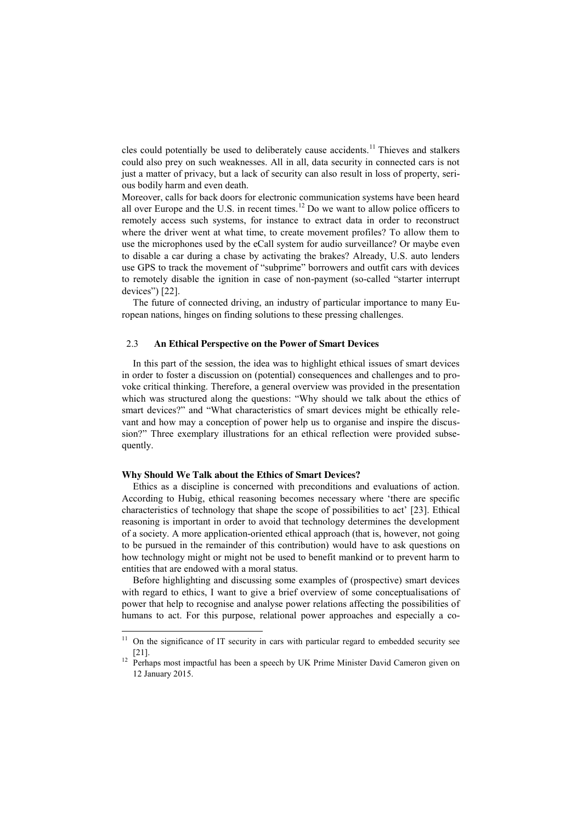cles could potentially be used to deliberately cause accidents.<sup>11</sup> Thieves and stalkers could also prey on such weaknesses. All in all, data security in connected cars is not just a matter of privacy, but a lack of security can also result in loss of property, serious bodily harm and even death.

Moreover, calls for back doors for electronic communication systems have been heard all over Europe and the U.S. in recent times.<sup>12</sup> Do we want to allow police officers to remotely access such systems, for instance to extract data in order to reconstruct where the driver went at what time, to create movement profiles? To allow them to use the microphones used by the eCall system for audio surveillance? Or maybe even to disable a car during a chase by activating the brakes? Already, U.S. auto lenders use GPS to track the movement of "subprime" borrowers and outfit cars with devices to remotely disable the ignition in case of non-payment (so-called "starter interrupt devices") [22].

The future of connected driving, an industry of particular importance to many European nations, hinges on finding solutions to these pressing challenges.

#### 2.3 **An Ethical Perspective on the Power of Smart Devices**

In this part of the session, the idea was to highlight ethical issues of smart devices in order to foster a discussion on (potential) consequences and challenges and to provoke critical thinking. Therefore, a general overview was provided in the presentation which was structured along the questions: "Why should we talk about the ethics of smart devices?" and "What characteristics of smart devices might be ethically relevant and how may a conception of power help us to organise and inspire the discussion?" Three exemplary illustrations for an ethical reflection were provided subsequently.

#### **Why Should We Talk about the Ethics of Smart Devices?**

Ethics as a discipline is concerned with preconditions and evaluations of action. According to Hubig, ethical reasoning becomes necessary where 'there are specific characteristics of technology that shape the scope of possibilities to act' [23]. Ethical reasoning is important in order to avoid that technology determines the development of a society. A more application-oriented ethical approach (that is, however, not going to be pursued in the remainder of this contribution) would have to ask questions on how technology might or might not be used to benefit mankind or to prevent harm to entities that are endowed with a moral status.

Before highlighting and discussing some examples of (prospective) smart devices with regard to ethics, I want to give a brief overview of some conceptualisations of power that help to recognise and analyse power relations affecting the possibilities of humans to act. For this purpose, relational power approaches and especially a co-

 $11$  On the significance of IT security in cars with particular regard to embedded security see [21].

<sup>&</sup>lt;sup>12</sup> Perhaps most impactful has been a speech by UK Prime Minister David Cameron given on 12 January 2015.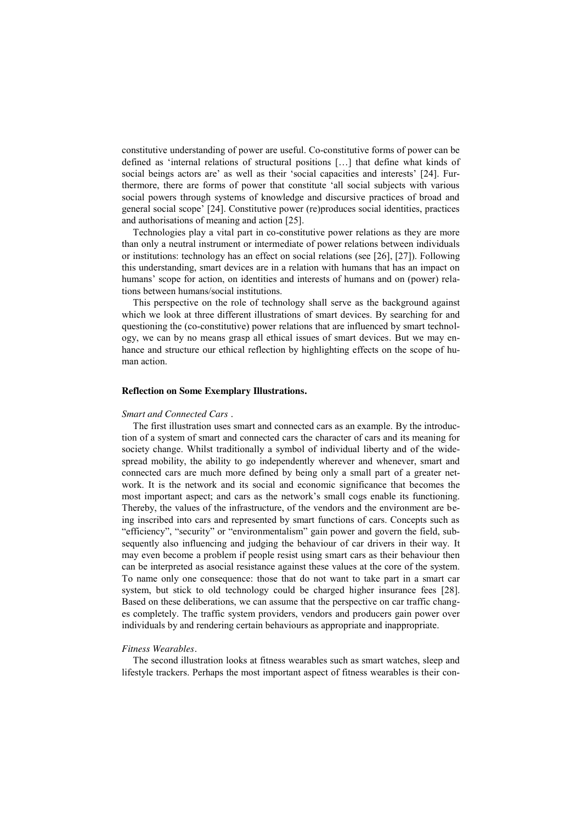constitutive understanding of power are useful. Co-constitutive forms of power can be defined as 'internal relations of structural positions […] that define what kinds of social beings actors are' as well as their 'social capacities and interests' [24]. Furthermore, there are forms of power that constitute 'all social subjects with various social powers through systems of knowledge and discursive practices of broad and general social scope' [24]. Constitutive power (re)produces social identities, practices and authorisations of meaning and action [25].

Technologies play a vital part in co-constitutive power relations as they are more than only a neutral instrument or intermediate of power relations between individuals or institutions: technology has an effect on social relations (see [26], [27]). Following this understanding, smart devices are in a relation with humans that has an impact on humans' scope for action, on identities and interests of humans and on (power) relations between humans/social institutions.

This perspective on the role of technology shall serve as the background against which we look at three different illustrations of smart devices. By searching for and questioning the (co-constitutive) power relations that are influenced by smart technology, we can by no means grasp all ethical issues of smart devices. But we may enhance and structure our ethical reflection by highlighting effects on the scope of human action.

#### **Reflection on Some Exemplary Illustrations.**

#### *Smart and Connected Cars .*

The first illustration uses smart and connected cars as an example. By the introduction of a system of smart and connected cars the character of cars and its meaning for society change. Whilst traditionally a symbol of individual liberty and of the widespread mobility, the ability to go independently wherever and whenever, smart and connected cars are much more defined by being only a small part of a greater network. It is the network and its social and economic significance that becomes the most important aspect; and cars as the network's small cogs enable its functioning. Thereby, the values of the infrastructure, of the vendors and the environment are being inscribed into cars and represented by smart functions of cars. Concepts such as "efficiency", "security" or "environmentalism" gain power and govern the field, subsequently also influencing and judging the behaviour of car drivers in their way. It may even become a problem if people resist using smart cars as their behaviour then can be interpreted as asocial resistance against these values at the core of the system. To name only one consequence: those that do not want to take part in a smart car system, but stick to old technology could be charged higher insurance fees [28]. Based on these deliberations, we can assume that the perspective on car traffic changes completely. The traffic system providers, vendors and producers gain power over individuals by and rendering certain behaviours as appropriate and inappropriate.

#### *Fitness Wearables.*

The second illustration looks at fitness wearables such as smart watches, sleep and lifestyle trackers. Perhaps the most important aspect of fitness wearables is their con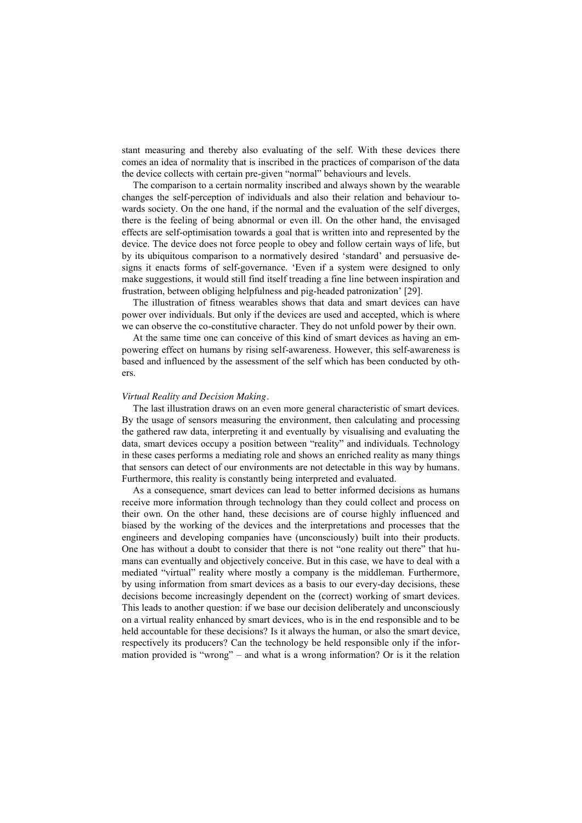stant measuring and thereby also evaluating of the self. With these devices there comes an idea of normality that is inscribed in the practices of comparison of the data the device collects with certain pre-given "normal" behaviours and levels.

The comparison to a certain normality inscribed and always shown by the wearable changes the self-perception of individuals and also their relation and behaviour towards society. On the one hand, if the normal and the evaluation of the self diverges, there is the feeling of being abnormal or even ill. On the other hand, the envisaged effects are self-optimisation towards a goal that is written into and represented by the device. The device does not force people to obey and follow certain ways of life, but by its ubiquitous comparison to a normatively desired 'standard' and persuasive designs it enacts forms of self-governance. 'Even if a system were designed to only make suggestions, it would still find itself treading a fine line between inspiration and frustration, between obliging helpfulness and pig-headed patronization' [29].

The illustration of fitness wearables shows that data and smart devices can have power over individuals. But only if the devices are used and accepted, which is where we can observe the co-constitutive character. They do not unfold power by their own.

At the same time one can conceive of this kind of smart devices as having an empowering effect on humans by rising self-awareness. However, this self-awareness is based and influenced by the assessment of the self which has been conducted by others.

#### *Virtual Reality and Decision Making.*

The last illustration draws on an even more general characteristic of smart devices. By the usage of sensors measuring the environment, then calculating and processing the gathered raw data, interpreting it and eventually by visualising and evaluating the data, smart devices occupy a position between "reality" and individuals. Technology in these cases performs a mediating role and shows an enriched reality as many things that sensors can detect of our environments are not detectable in this way by humans. Furthermore, this reality is constantly being interpreted and evaluated.

As a consequence, smart devices can lead to better informed decisions as humans receive more information through technology than they could collect and process on their own. On the other hand, these decisions are of course highly influenced and biased by the working of the devices and the interpretations and processes that the engineers and developing companies have (unconsciously) built into their products. One has without a doubt to consider that there is not "one reality out there" that humans can eventually and objectively conceive. But in this case, we have to deal with a mediated "virtual" reality where mostly a company is the middleman. Furthermore, by using information from smart devices as a basis to our every-day decisions, these decisions become increasingly dependent on the (correct) working of smart devices. This leads to another question: if we base our decision deliberately and unconsciously on a virtual reality enhanced by smart devices, who is in the end responsible and to be held accountable for these decisions? Is it always the human, or also the smart device, respectively its producers? Can the technology be held responsible only if the information provided is "wrong" – and what is a wrong information? Or is it the relation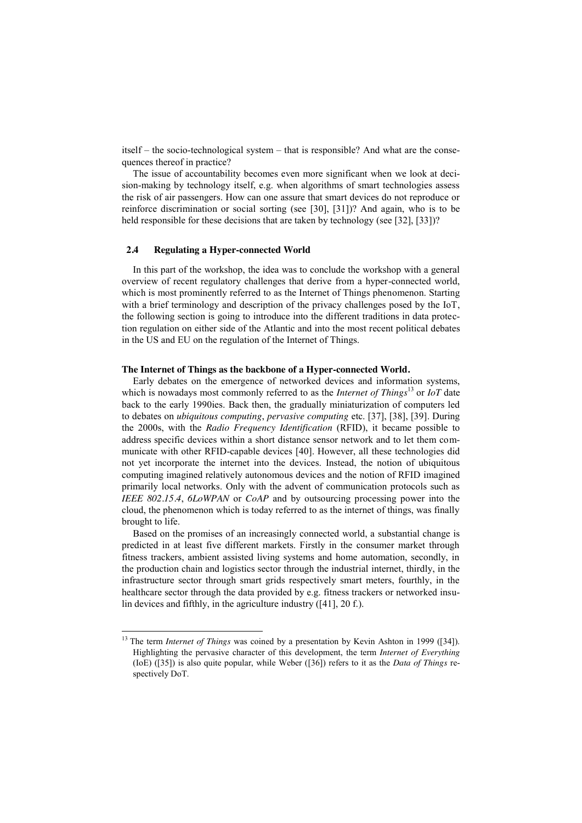itself – the socio-technological system – that is responsible? And what are the consequences thereof in practice?

The issue of accountability becomes even more significant when we look at decision-making by technology itself, e.g. when algorithms of smart technologies assess the risk of air passengers. How can one assure that smart devices do not reproduce or reinforce discrimination or social sorting (see [30], [31])? And again, who is to be held responsible for these decisions that are taken by technology (see [32], [33])?

### **2.4 Regulating a Hyper-connected World**

In this part of the workshop, the idea was to conclude the workshop with a general overview of recent regulatory challenges that derive from a hyper-connected world, which is most prominently referred to as the Internet of Things phenomenon. Starting with a brief terminology and description of the privacy challenges posed by the IoT, the following section is going to introduce into the different traditions in data protection regulation on either side of the Atlantic and into the most recent political debates in the US and EU on the regulation of the Internet of Things.

#### **The Internet of Things as the backbone of a Hyper-connected World.**

Early debates on the emergence of networked devices and information systems, which is nowadays most commonly referred to as the *Internet of Things*<sup>13</sup> or *IoT* date back to the early 1990ies. Back then, the gradually miniaturization of computers led to debates on *ubiquitous computing*, *pervasive computing* etc. [37], [38], [39]. During the 2000s, with the *Radio Frequency Identification* (RFID), it became possible to address specific devices within a short distance sensor network and to let them communicate with other RFID-capable devices [40]. However, all these technologies did not yet incorporate the internet into the devices. Instead, the notion of ubiquitous computing imagined relatively autonomous devices and the notion of RFID imagined primarily local networks. Only with the advent of communication protocols such as *IEEE 802.15.4*, *6LoWPAN* or *CoAP* and by outsourcing processing power into the cloud, the phenomenon which is today referred to as the internet of things, was finally brought to life.

Based on the promises of an increasingly connected world, a substantial change is predicted in at least five different markets. Firstly in the consumer market through fitness trackers, ambient assisted living systems and home automation, secondly, in the production chain and logistics sector through the industrial internet, thirdly, in the infrastructure sector through smart grids respectively smart meters, fourthly, in the healthcare sector through the data provided by e.g. fitness trackers or networked insulin devices and fifthly, in the agriculture industry ([41], 20 f.).

 <sup>13</sup> The term *Internet of Things* was coined by a presentation by Kevin Ashton in 1999 ([34]). Highlighting the pervasive character of this development, the term *Internet of Everything* (IoE) ([35]) is also quite popular, while Weber ([36]) refers to it as the *Data of Things* respectively DoT.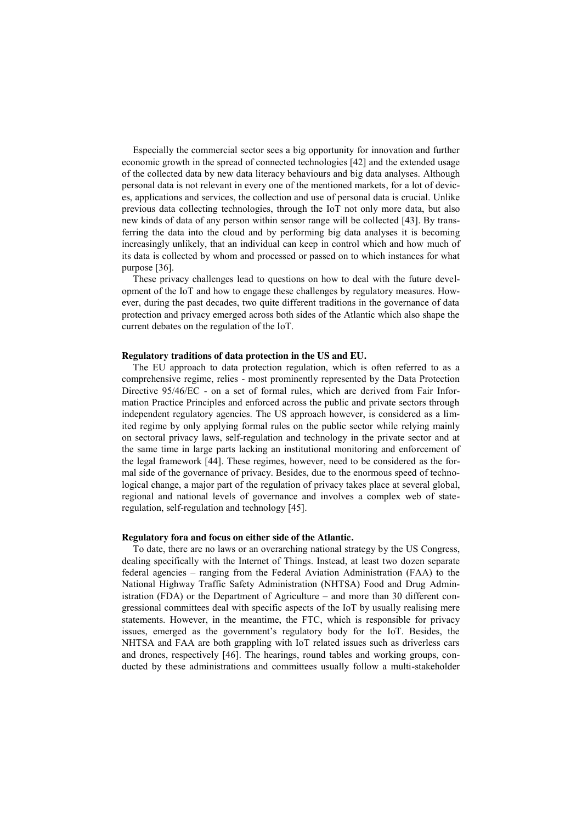Especially the commercial sector sees a big opportunity for innovation and further economic growth in the spread of connected technologies [42] and the extended usage of the collected data by new data literacy behaviours and big data analyses. Although personal data is not relevant in every one of the mentioned markets, for a lot of devices, applications and services, the collection and use of personal data is crucial. Unlike previous data collecting technologies, through the IoT not only more data, but also new kinds of data of any person within sensor range will be collected [43]. By transferring the data into the cloud and by performing big data analyses it is becoming increasingly unlikely, that an individual can keep in control which and how much of its data is collected by whom and processed or passed on to which instances for what purpose [36].

These privacy challenges lead to questions on how to deal with the future development of the IoT and how to engage these challenges by regulatory measures. However, during the past decades, two quite different traditions in the governance of data protection and privacy emerged across both sides of the Atlantic which also shape the current debates on the regulation of the IoT.

#### **Regulatory traditions of data protection in the US and EU.**

The EU approach to data protection regulation, which is often referred to as a comprehensive regime, relies - most prominently represented by the Data Protection Directive 95/46/EC - on a set of formal rules, which are derived from Fair Information Practice Principles and enforced across the public and private sectors through independent regulatory agencies. The US approach however, is considered as a limited regime by only applying formal rules on the public sector while relying mainly on sectoral privacy laws, self-regulation and technology in the private sector and at the same time in large parts lacking an institutional monitoring and enforcement of the legal framework [44]. These regimes, however, need to be considered as the formal side of the governance of privacy. Besides, due to the enormous speed of technological change, a major part of the regulation of privacy takes place at several global, regional and national levels of governance and involves a complex web of stateregulation, self-regulation and technology [45].

#### **Regulatory fora and focus on either side of the Atlantic.**

To date, there are no laws or an overarching national strategy by the US Congress, dealing specifically with the Internet of Things. Instead, at least two dozen separate federal agencies – ranging from the Federal Aviation Administration (FAA) to the National Highway Traffic Safety Administration (NHTSA) Food and Drug Administration (FDA) or the Department of Agriculture – and more than 30 different congressional committees deal with specific aspects of the IoT by usually realising mere statements. However, in the meantime, the FTC, which is responsible for privacy issues, emerged as the government's regulatory body for the IoT. Besides, the NHTSA and FAA are both grappling with IoT related issues such as driverless cars and drones, respectively [46]. The hearings, round tables and working groups, conducted by these administrations and committees usually follow a multi-stakeholder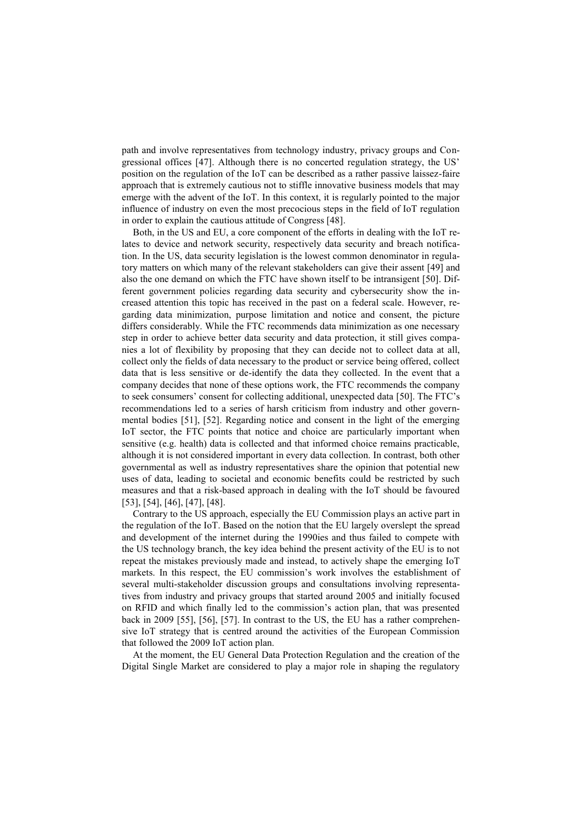path and involve representatives from technology industry, privacy groups and Congressional offices [47]. Although there is no concerted regulation strategy, the US' position on the regulation of the IoT can be described as a rather passive laissez-faire approach that is extremely cautious not to stiffle innovative business models that may emerge with the advent of the IoT. In this context, it is regularly pointed to the major influence of industry on even the most precocious steps in the field of IoT regulation in order to explain the cautious attitude of Congress [48].

Both, in the US and EU, a core component of the efforts in dealing with the IoT relates to device and network security, respectively data security and breach notification. In the US, data security legislation is the lowest common denominator in regulatory matters on which many of the relevant stakeholders can give their assent [49] and also the one demand on which the FTC have shown itself to be intransigent [50]. Different government policies regarding data security and cybersecurity show the increased attention this topic has received in the past on a federal scale. However, regarding data minimization, purpose limitation and notice and consent, the picture differs considerably. While the FTC recommends data minimization as one necessary step in order to achieve better data security and data protection, it still gives companies a lot of flexibility by proposing that they can decide not to collect data at all, collect only the fields of data necessary to the product or service being offered, collect data that is less sensitive or de-identify the data they collected. In the event that a company decides that none of these options work, the FTC recommends the company to seek consumers' consent for collecting additional, unexpected data [50]. The FTC's recommendations led to a series of harsh criticism from industry and other governmental bodies [51], [52]. Regarding notice and consent in the light of the emerging IoT sector, the FTC points that notice and choice are particularly important when sensitive (e.g. health) data is collected and that informed choice remains practicable, although it is not considered important in every data collection. In contrast, both other governmental as well as industry representatives share the opinion that potential new uses of data, leading to societal and economic benefits could be restricted by such measures and that a risk-based approach in dealing with the IoT should be favoured [53], [54], [46], [47], [48].

Contrary to the US approach, especially the EU Commission plays an active part in the regulation of the IoT. Based on the notion that the EU largely overslept the spread and development of the internet during the 1990ies and thus failed to compete with the US technology branch, the key idea behind the present activity of the EU is to not repeat the mistakes previously made and instead, to actively shape the emerging IoT markets. In this respect, the EU commission's work involves the establishment of several multi-stakeholder discussion groups and consultations involving representatives from industry and privacy groups that started around 2005 and initially focused on RFID and which finally led to the commission's action plan, that was presented back in 2009 [55], [56], [57]. In contrast to the US, the EU has a rather comprehensive IoT strategy that is centred around the activities of the European Commission that followed the 2009 IoT action plan.

At the moment, the EU General Data Protection Regulation and the creation of the Digital Single Market are considered to play a major role in shaping the regulatory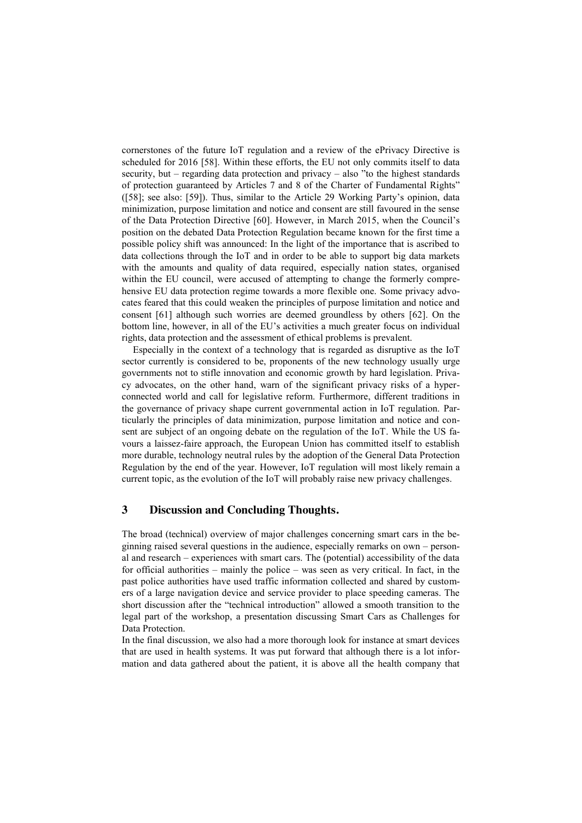cornerstones of the future IoT regulation and a review of the ePrivacy Directive is scheduled for 2016 [58]. Within these efforts, the EU not only commits itself to data security, but – regarding data protection and privacy – also "to the highest standards of protection guaranteed by Articles 7 and 8 of the Charter of Fundamental Rights" ([58]; see also: [59]). Thus, similar to the Article 29 Working Party's opinion, data minimization, purpose limitation and notice and consent are still favoured in the sense of the Data Protection Directive [60]. However, in March 2015, when the Council's position on the debated Data Protection Regulation became known for the first time a possible policy shift was announced: In the light of the importance that is ascribed to data collections through the IoT and in order to be able to support big data markets with the amounts and quality of data required, especially nation states, organised within the EU council, were accused of attempting to change the formerly comprehensive EU data protection regime towards a more flexible one. Some privacy advocates feared that this could weaken the principles of purpose limitation and notice and consent [61] although such worries are deemed groundless by others [62]. On the bottom line, however, in all of the EU's activities a much greater focus on individual rights, data protection and the assessment of ethical problems is prevalent.

Especially in the context of a technology that is regarded as disruptive as the IoT sector currently is considered to be, proponents of the new technology usually urge governments not to stifle innovation and economic growth by hard legislation. Privacy advocates, on the other hand, warn of the significant privacy risks of a hyperconnected world and call for legislative reform. Furthermore, different traditions in the governance of privacy shape current governmental action in IoT regulation. Particularly the principles of data minimization, purpose limitation and notice and consent are subject of an ongoing debate on the regulation of the IoT. While the US favours a laissez-faire approach, the European Union has committed itself to establish more durable, technology neutral rules by the adoption of the General Data Protection Regulation by the end of the year. However, IoT regulation will most likely remain a current topic, as the evolution of the IoT will probably raise new privacy challenges.

## **3 Discussion and Concluding Thoughts.**

The broad (technical) overview of major challenges concerning smart cars in the beginning raised several questions in the audience, especially remarks on own – personal and research – experiences with smart cars. The (potential) accessibility of the data for official authorities – mainly the police – was seen as very critical. In fact, in the past police authorities have used traffic information collected and shared by customers of a large navigation device and service provider to place speeding cameras. The short discussion after the "technical introduction" allowed a smooth transition to the legal part of the workshop, a presentation discussing Smart Cars as Challenges for Data Protection.

In the final discussion, we also had a more thorough look for instance at smart devices that are used in health systems. It was put forward that although there is a lot information and data gathered about the patient, it is above all the health company that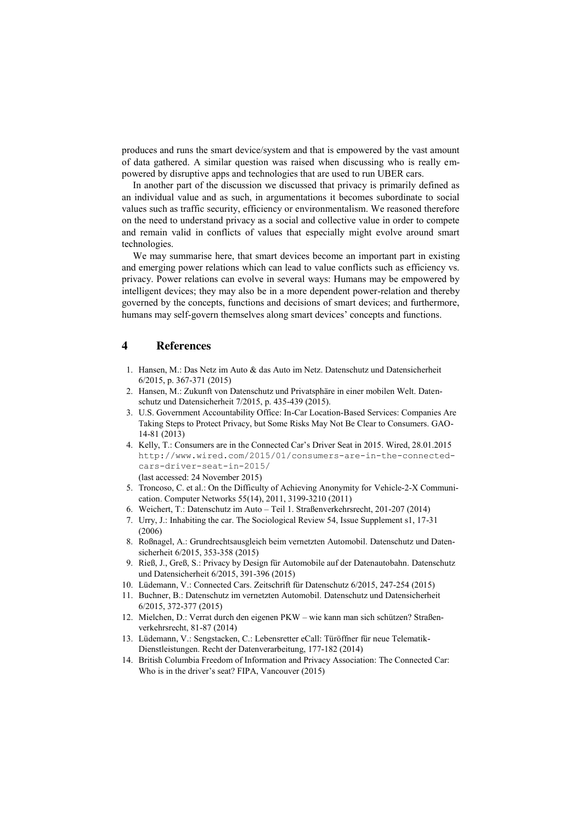produces and runs the smart device/system and that is empowered by the vast amount of data gathered. A similar question was raised when discussing who is really empowered by disruptive apps and technologies that are used to run UBER cars.

In another part of the discussion we discussed that privacy is primarily defined as an individual value and as such, in argumentations it becomes subordinate to social values such as traffic security, efficiency or environmentalism. We reasoned therefore on the need to understand privacy as a social and collective value in order to compete and remain valid in conflicts of values that especially might evolve around smart technologies.

We may summarise here, that smart devices become an important part in existing and emerging power relations which can lead to value conflicts such as efficiency vs. privacy. Power relations can evolve in several ways: Humans may be empowered by intelligent devices; they may also be in a more dependent power-relation and thereby governed by the concepts, functions and decisions of smart devices; and furthermore, humans may self-govern themselves along smart devices' concepts and functions.

#### **4 References**

- 1. Hansen, M.: Das Netz im Auto & das Auto im Netz. Datenschutz und Datensicherheit 6/2015, p. 367-371 (2015)
- 2. Hansen, M.: Zukunft von Datenschutz und Privatsphäre in einer mobilen Welt. Datenschutz und Datensicherheit 7/2015, p. 435-439 (2015).
- 3. U.S. Government Accountability Office: In-Car Location-Based Services: Companies Are Taking Steps to Protect Privacy, but Some Risks May Not Be Clear to Consumers. GAO-14-81 (2013)
- 4. Kelly, T.: Consumers are in the Connected Car's Driver Seat in 2015. Wired, 28.01.2015 [http://www.wired.com/2015/01/consumers-are-in-the-connected](http://www.wired.com/2015/01/consumers-are-in-the-connected-cars-driver-seat-in-2015/)[cars-driver-seat-in-2015/](http://www.wired.com/2015/01/consumers-are-in-the-connected-cars-driver-seat-in-2015/) (last accessed: 24 November 2015)
- 5. Troncoso, C. et al.: On the Difficulty of Achieving Anonymity for Vehicle-2-X Communication. Computer Networks 55(14), 2011, 3199-3210 (2011)
- 6. Weichert, T.: Datenschutz im Auto Teil 1. Straßenverkehrsrecht, 201-207 (2014)
- 7. Urry, J.: Inhabiting the car. The Sociological Review 54, Issue Supplement s1, 17-31 (2006)
- 8. Roßnagel, A.: Grundrechtsausgleich beim vernetzten Automobil. Datenschutz und Datensicherheit 6/2015, 353-358 (2015)
- 9. Rieß, J., Greß, S.: Privacy by Design für Automobile auf der Datenautobahn. Datenschutz und Datensicherheit 6/2015, 391-396 (2015)
- 10. Lüdemann, V.: Connected Cars. Zeitschrift für Datenschutz 6/2015, 247-254 (2015)
- 11. Buchner, B.: Datenschutz im vernetzten Automobil. Datenschutz und Datensicherheit 6/2015, 372-377 (2015)
- 12. Mielchen, D.: Verrat durch den eigenen PKW wie kann man sich schützen? Straßenverkehrsrecht, 81-87 (2014)
- 13. Lüdemann, V.: Sengstacken, C.: Lebensretter eCall: Türöffner für neue Telematik-Dienstleistungen. Recht der Datenverarbeitung, 177-182 (2014)
- 14. British Columbia Freedom of Information and Privacy Association: The Connected Car: Who is in the driver's seat? FIPA, Vancouver (2015)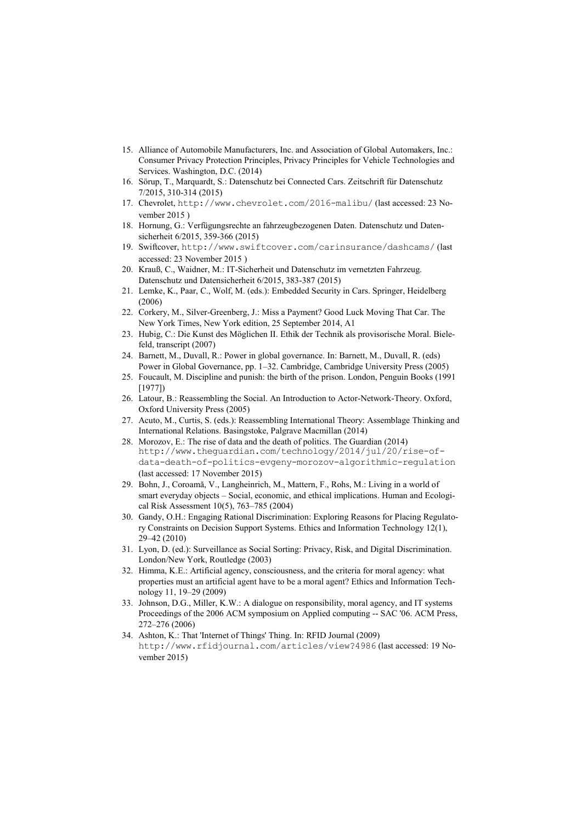- 15. Alliance of Automobile Manufacturers, Inc. and Association of Global Automakers, Inc.: Consumer Privacy Protection Principles, Privacy Principles for Vehicle Technologies and Services. Washington, D.C. (2014)
- 16. Sörup, T., Marquardt, S.: Datenschutz bei Connected Cars. Zeitschrift für Datenschutz 7/2015, 310-314 (2015)
- 17. Chevrolet, <http://www.chevrolet.com/2016-malibu/> (last accessed: 23 November 2015 )
- 18. Hornung, G.: Verfügungsrechte an fahrzeugbezogenen Daten. Datenschutz und Datensicherheit 6/2015, 359-366 (2015)
- 19. Swiftcover, <http://www.swiftcover.com/carinsurance/dashcams/> (last accessed: 23 November 2015 )
- 20. Krauß, C., Waidner, M.: IT-Sicherheit und Datenschutz im vernetzten Fahrzeug. Datenschutz und Datensicherheit 6/2015, 383-387 (2015)
- 21. Lemke, K., Paar, C., Wolf, M. (eds.): Embedded Security in Cars. Springer, Heidelberg (2006)
- 22. Corkery, M., Silver-Greenberg, J.: Miss a Payment? Good Luck Moving That Car. The New York Times, New York edition, 25 September 2014, A1
- 23. Hubig, C.: Die Kunst des Möglichen II. Ethik der Technik als provisorische Moral. Bielefeld, transcript (2007)
- 24. Barnett, M., Duvall, R.: Power in global governance. In: Barnett, M., Duvall, R. (eds) Power in Global Governance, pp. 1–32. Cambridge, Cambridge University Press (2005)
- 25. Foucault, M. Discipline and punish: the birth of the prison. London, Penguin Books (1991 [1977])
- 26. Latour, B.: Reassembling the Social. An Introduction to Actor-Network-Theory. Oxford, Oxford University Press (2005)
- 27. Acuto, M., Curtis, S. (eds.): Reassembling International Theory: Assemblage Thinking and International Relations. Basingstoke, Palgrave Macmillan (2014)
- 28. Morozov, E.: The rise of data and the death of politics. The Guardian (2014) [http://www.theguardian.com/technology/2014/jul/20/rise-of](http://www.theguardian.com/technology/2014/jul/20/rise-of-data-death-of-politics-evgeny-morozov-algorithmic-regulation)[data-death-of-politics-evgeny-morozov-algorithmic-regulation](http://www.theguardian.com/technology/2014/jul/20/rise-of-data-death-of-politics-evgeny-morozov-algorithmic-regulation) (last accessed: 17 November 2015)
- 29. Bohn, J., Coroamă, V., Langheinrich, M., Mattern, F., Rohs, M.: Living in a world of smart everyday objects – Social, economic, and ethical implications. Human and Ecological Risk Assessment 10(5), 763–785 (2004)
- 30. Gandy, O.H.: Engaging Rational Discrimination: Exploring Reasons for Placing Regulatory Constraints on Decision Support Systems. Ethics and Information Technology 12(1), 29–42 (2010)
- 31. Lyon, D. (ed.): Surveillance as Social Sorting: Privacy, Risk, and Digital Discrimination. London/New York, Routledge (2003)
- 32. Himma, K.E.: Artificial agency, consciousness, and the criteria for moral agency: what properties must an artificial agent have to be a moral agent? Ethics and Information Technology 11, 19–29 (2009)
- 33. Johnson, D.G., Miller, K.W.: A dialogue on responsibility, moral agency, and IT systems Proceedings of the 2006 ACM symposium on Applied computing -- SAC '06. ACM Press, 272–276 (2006)
- 34. Ashton, K.: That 'Internet of Things' Thing. In: RFID Journal (2009) <http://www.rfidjournal.com/articles/view?4986> (last accessed: 19 November 2015)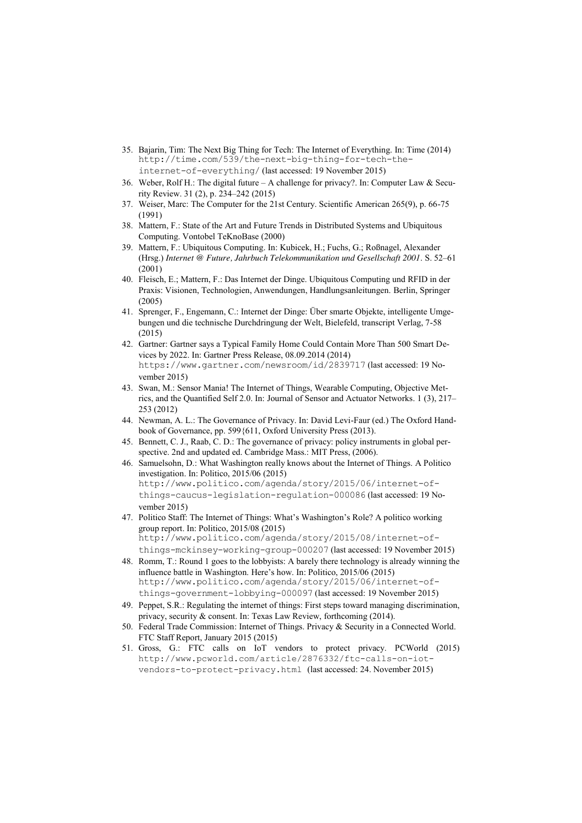- 35. Bajarin, Tim: The Next Big Thing for Tech: The Internet of Everything. In: Time (2014) [http://time.com/539/the-next-big-thing-for-tech-the](http://time.com/539/the-next-big-thing-for-tech-the-internet-of-everything/)[internet-of-everything/](http://time.com/539/the-next-big-thing-for-tech-the-internet-of-everything/) (last accessed: 19 November 2015)
- 36. Weber, Rolf H.: The digital future A challenge for privacy?. In: Computer Law & Security Review. 31 (2), p. 234–242 (2015)
- 37. Weiser, Marc: The Computer for the 21st Century. Scientific American 265(9), p. 66-75 (1991)
- 38. Mattern, F.: State of the Art and Future Trends in Distributed Systems and Ubiquitous Computing. Vontobel TeKnoBase (2000)
- 39. Mattern, F.: Ubiquitous Computing. In: Kubicek, H.; Fuchs, G.; Roßnagel, Alexander (Hrsg.) *Internet @ Future, Jahrbuch Telekommunikation und Gesellschaft 2001*. S. 52–61 (2001)
- 40. Fleisch, E.; Mattern, F.: Das Internet der Dinge. Ubiquitous Computing und RFID in der Praxis: Visionen, Technologien, Anwendungen, Handlungsanleitungen. Berlin, Springer (2005)
- 41. Sprenger, F., Engemann, C.: Internet der Dinge: Über smarte Objekte, intelligente Umgebungen und die technische Durchdringung der Welt, Bielefeld, transcript Verlag, 7-58 (2015)
- 42. Gartner: Gartner says a Typical Family Home Could Contain More Than 500 Smart Devices by 2022. In: Gartner Press Release, 08.09.2014 (2014) <https://www.gartner.com/newsroom/id/2839717> (last accessed: 19 November 2015)
- 43. Swan, M.: Sensor Mania! The Internet of Things, Wearable Computing, Objective Metrics, and the Quantified Self 2.0. In: Journal of Sensor and Actuator Networks. 1 (3), 217– 253 (2012)
- 44. Newman, A. L.: The Governance of Privacy. In: David Levi-Faur (ed.) The Oxford Handbook of Governance, pp. 599{611, Oxford University Press (2013).
- 45. Bennett, C. J., Raab, C. D.: The governance of privacy: policy instruments in global perspective. 2nd and updated ed. Cambridge Mass.: MIT Press, (2006).
- 46. Samuelsohn, D.: What Washington really knows about the Internet of Things. A Politico investigation. In: Politico, 2015/06 (2015) http://www.politico.com/agenda/story/2015/06/internet-ofthings-caucus-legislation-regulation-000086 (last accessed: 19 November 2015)
- 47. Politico Staff: The Internet of Things: What's Washington's Role? A politico working group report. In: Politico, 2015/08 (2015) http://www.politico.com/agenda/story/2015/08/internet-ofthings-mckinsey-working-group-000207 (last accessed: 19 November 2015)
- 48. Romm, T.: Round 1 goes to the lobbyists: A barely there technology is already winning the influence battle in Washington. Here's how. In: Politico, 2015/06 (2015) http://www.politico.com/agenda/story/2015/06/internet-ofthings-government-lobbying-000097 (last accessed: 19 November 2015)
- 49. Peppet, S.R.: Regulating the internet of things: First steps toward managing discrimination, privacy, security & consent. In: Texas Law Review, forthcoming (2014).
- 50. Federal Trade Commission: Internet of Things. Privacy & Security in a Connected World. FTC Staff Report, January 2015 (2015)
- 51. Gross, G.: FTC calls on IoT vendors to protect privacy. PCWorld (2015) http://www.pcworld.com/article/2876332/ftc-calls-on-iotvendors-to-protect-privacy.html (last accessed: 24. November 2015)